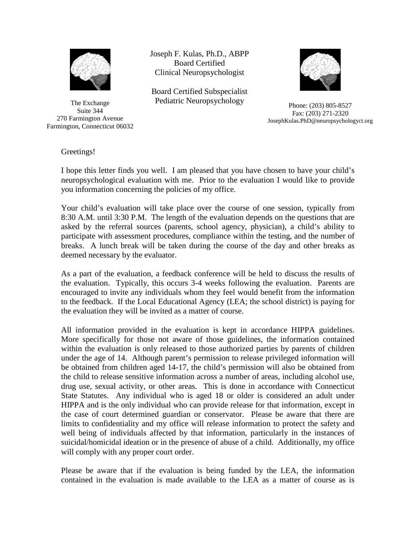

The Exchange Suite 344 270 Farmington Avenue Farmington, Connecticut 06032 Joseph F. Kulas, Ph.D., ABPP Board Certified Clinical Neuropsychologist

Board Certified Subspecialist Pediatric Neuropsychology<br>
Phone: (203) 805-8527



Fax: (203) 271-2320 JosephKulas.PhD@neuropsychologyct.org

Greetings!

I hope this letter finds you well. I am pleased that you have chosen to have your child's neuropsychological evaluation with me. Prior to the evaluation I would like to provide you information concerning the policies of my office.

Your child's evaluation will take place over the course of one session, typically from 8:30 A.M. until 3:30 P.M. The length of the evaluation depends on the questions that are asked by the referral sources (parents, school agency, physician), a child's ability to participate with assessment procedures, compliance within the testing, and the number of breaks. A lunch break will be taken during the course of the day and other breaks as deemed necessary by the evaluator.

As a part of the evaluation, a feedback conference will be held to discuss the results of the evaluation. Typically, this occurs 3-4 weeks following the evaluation. Parents are encouraged to invite any individuals whom they feel would benefit from the information to the feedback. If the Local Educational Agency (LEA; the school district) is paying for the evaluation they will be invited as a matter of course.

All information provided in the evaluation is kept in accordance HIPPA guidelines. More specifically for those not aware of those guidelines, the information contained within the evaluation is only released to those authorized parties by parents of children under the age of 14. Although parent's permission to release privileged information will be obtained from children aged 14-17, the child's permission will also be obtained from the child to release sensitive information across a number of areas, including alcohol use, drug use, sexual activity, or other areas. This is done in accordance with Connecticut State Statutes. Any individual who is aged 18 or older is considered an adult under HIPPA and is the only individual who can provide release for that information, except in the case of court determined guardian or conservator. Please be aware that there are limits to confidentiality and my office will release information to protect the safety and well being of individuals affected by that information, particularly in the instances of suicidal/homicidal ideation or in the presence of abuse of a child. Additionally, my office will comply with any proper court order.

Please be aware that if the evaluation is being funded by the LEA, the information contained in the evaluation is made available to the LEA as a matter of course as is